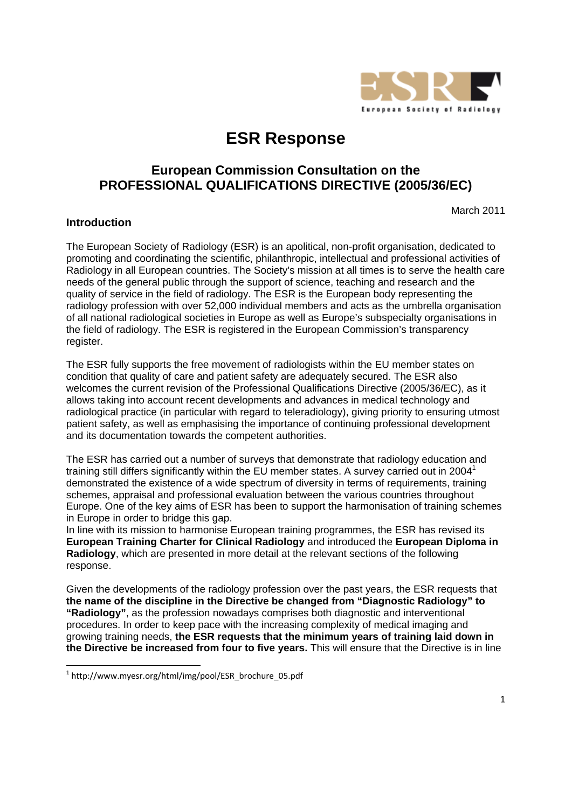

# **ESR Response**

# **European Commission Consultation on the PROFESSIONAL QUALIFICATIONS DIRECTIVE (2005/36/EC)**

March 2011

## **Introduction**

The European Society of Radiology (ESR) is an apolitical, non-profit organisation, dedicated to promoting and coordinating the scientific, philanthropic, intellectual and professional activities of Radiology in all European countries. The Society's mission at all times is to serve the health care needs of the general public through the support of science, teaching and research and the quality of service in the field of radiology. The ESR is the European body representing the radiology profession with over 52,000 individual members and acts as the umbrella organisation of all national radiological societies in Europe as well as Europe's subspecialty organisations in the field of radiology. The ESR is registered in the European Commission's transparency register.

The ESR fully supports the free movement of radiologists within the EU member states on condition that quality of care and patient safety are adequately secured. The ESR also welcomes the current revision of the Professional Qualifications Directive (2005/36/EC), as it allows taking into account recent developments and advances in medical technology and radiological practice (in particular with regard to teleradiology), giving priority to ensuring utmost patient safety, as well as emphasising the importance of continuing professional development and its documentation towards the competent authorities.

The ESR has carried out a number of surveys that demonstrate that radiology education and training still differs significantly within the EU member states. A survey carried out in 2004<sup>1</sup> demonstrated the existence of a wide spectrum of diversity in terms of requirements, training schemes, appraisal and professional evaluation between the various countries throughout Europe. One of the key aims of ESR has been to support the harmonisation of training schemes in Europe in order to bridge this gap.

In line with its mission to harmonise European training programmes, the ESR has revised its **European Training Charter for Clinical Radiology** and introduced the **European Diploma in Radiology**, which are presented in more detail at the relevant sections of the following response.

Given the developments of the radiology profession over the past years, the ESR requests that **the name of the discipline in the Directive be changed from "Diagnostic Radiology" to "Radiology"**, as the profession nowadays comprises both diagnostic and interventional procedures. In order to keep pace with the increasing complexity of medical imaging and growing training needs, **the ESR requests that the minimum years of training laid down in the Directive be increased from four to five years.** This will ensure that the Directive is in line

<u> Andrew Maria (1989)</u>

 $1$  http://www.myesr.org/html/img/pool/ESR\_brochure\_05.pdf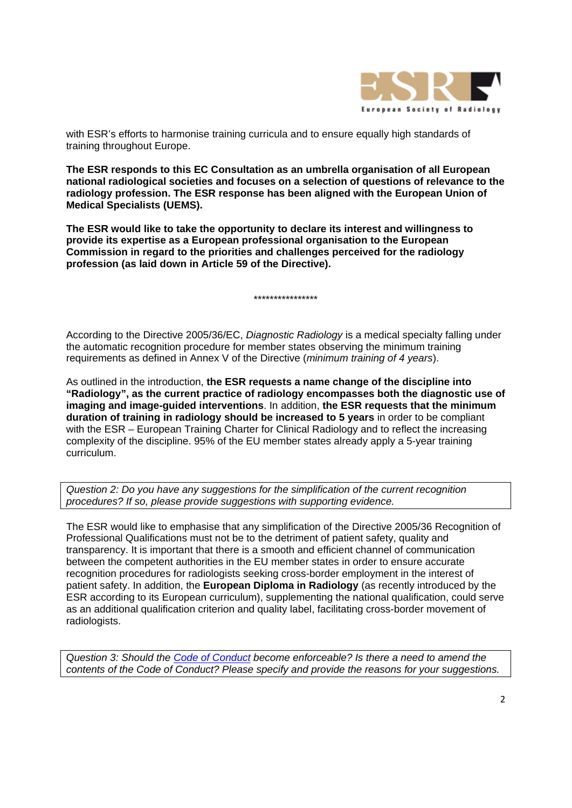

with ESR's efforts to harmonise training curricula and to ensure equally high standards of training throughout Europe.

**The ESR responds to this EC Consultation as an umbrella organisation of all European national radiological societies and focuses on a selection of questions of relevance to the radiology profession. The ESR response has been aligned with the European Union of Medical Specialists (UEMS).** 

**The ESR would like to take the opportunity to declare its interest and willingness to provide its expertise as a European professional organisation to the European Commission in regard to the priorities and challenges perceived for the radiology profession (as laid down in Article 59 of the Directive).** 

\*\*\*\*\*\*\*\*\*\*\*\*\*\*\*\*

According to the Directive 2005/36/EC, *Diagnostic Radiology* is a medical specialty falling under the automatic recognition procedure for member states observing the minimum training requirements as defined in Annex V of the Directive (*minimum training of 4 years*).

As outlined in the introduction, **the ESR requests a name change of the discipline into "Radiology", as the current practice of radiology encompasses both the diagnostic use of imaging and image-guided interventions**. In addition, **the ESR requests that the minimum duration of training in radiology should be increased to 5 years** in order to be compliant with the ESR – European Training Charter for Clinical Radiology and to reflect the increasing complexity of the discipline. 95% of the EU member states already apply a 5-year training curriculum.

*Question 2: Do you have any suggestions for the simplification of the current recognition procedures? If so, please provide suggestions with supporting evidence.* 

The ESR would like to emphasise that any simplification of the Directive 2005/36 Recognition of Professional Qualifications must not be to the detriment of patient safety, quality and transparency. It is important that there is a smooth and efficient channel of communication between the competent authorities in the EU member states in order to ensure accurate recognition procedures for radiologists seeking cross-border employment in the interest of patient safety. In addition, the **European Diploma in Radiology** (as recently introduced by the ESR according to its European curriculum), supplementing the national qualification, could serve as an additional qualification criterion and quality label, facilitating cross-border movement of radiologists.

Q*uestion 3: Should the Code of Conduct become enforceable? Is there a need to amend the contents of the Code of Conduct? Please specify and provide the reasons for your suggestions.*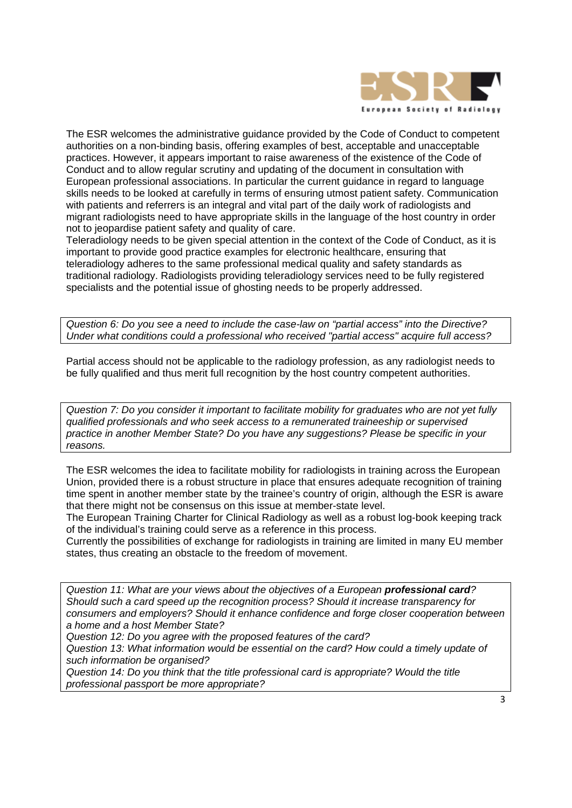

The ESR welcomes the administrative guidance provided by the Code of Conduct to competent authorities on a non-binding basis, offering examples of best, acceptable and unacceptable practices. However, it appears important to raise awareness of the existence of the Code of Conduct and to allow regular scrutiny and updating of the document in consultation with European professional associations. In particular the current guidance in regard to language skills needs to be looked at carefully in terms of ensuring utmost patient safety. Communication with patients and referrers is an integral and vital part of the daily work of radiologists and migrant radiologists need to have appropriate skills in the language of the host country in order not to jeopardise patient safety and quality of care.

Teleradiology needs to be given special attention in the context of the Code of Conduct, as it is important to provide good practice examples for electronic healthcare, ensuring that teleradiology adheres to the same professional medical quality and safety standards as traditional radiology. Radiologists providing teleradiology services need to be fully registered specialists and the potential issue of ghosting needs to be properly addressed.

*Question 6: Do you see a need to include the case-law on "partial access" into the Directive? Under what conditions could a professional who received "partial access" acquire full access?* 

Partial access should not be applicable to the radiology profession, as any radiologist needs to be fully qualified and thus merit full recognition by the host country competent authorities.

*Question 7: Do you consider it important to facilitate mobility for graduates who are not yet fully qualified professionals and who seek access to a remunerated traineeship or supervised practice in another Member State? Do you have any suggestions? Please be specific in your reasons.* 

The ESR welcomes the idea to facilitate mobility for radiologists in training across the European Union, provided there is a robust structure in place that ensures adequate recognition of training time spent in another member state by the trainee's country of origin, although the ESR is aware that there might not be consensus on this issue at member-state level.

The European Training Charter for Clinical Radiology as well as a robust log-book keeping track of the individual's training could serve as a reference in this process.

Currently the possibilities of exchange for radiologists in training are limited in many EU member states, thus creating an obstacle to the freedom of movement.

*Question 11: What are your views about the objectives of a European professional card? Should such a card speed up the recognition process? Should it increase transparency for consumers and employers? Should it enhance confidence and forge closer cooperation between a home and a host Member State?* 

*Question 12: Do you agree with the proposed features of the card?* 

*Question 13: What information would be essential on the card? How could a timely update of such information be organised?* 

*Question 14: Do you think that the title professional card is appropriate? Would the title professional passport be more appropriate?*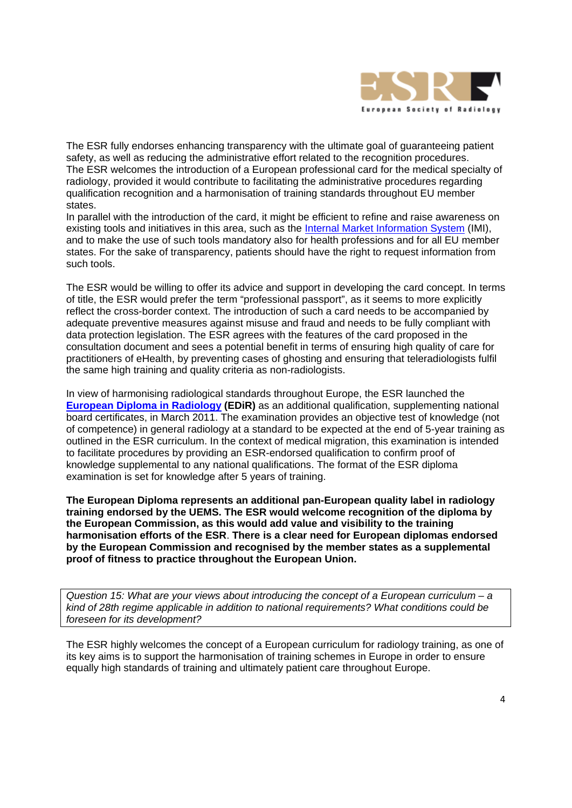

The ESR fully endorses enhancing transparency with the ultimate goal of guaranteeing patient safety, as well as reducing the administrative effort related to the recognition procedures. The ESR welcomes the introduction of a European professional card for the medical specialty of radiology, provided it would contribute to facilitating the administrative procedures regarding qualification recognition and a harmonisation of training standards throughout EU member states.

In parallel with the introduction of the card, it might be efficient to refine and raise awareness on existing tools and initiatives in this area, such as the Internal Market Information System (IMI), and to make the use of such tools mandatory also for health professions and for all EU member states. For the sake of transparency, patients should have the right to request information from such tools.

The ESR would be willing to offer its advice and support in developing the card concept. In terms of title, the ESR would prefer the term "professional passport", as it seems to more explicitly reflect the cross-border context. The introduction of such a card needs to be accompanied by adequate preventive measures against misuse and fraud and needs to be fully compliant with data protection legislation. The ESR agrees with the features of the card proposed in the consultation document and sees a potential benefit in terms of ensuring high quality of care for practitioners of eHealth, by preventing cases of ghosting and ensuring that teleradiologists fulfil the same high training and quality criteria as non-radiologists.

In view of harmonising radiological standards throughout Europe, the ESR launched the **European Diploma in Radiology (EDiR)** as an additional qualification, supplementing national board certificates, in March 2011. The examination provides an objective test of knowledge (not of competence) in general radiology at a standard to be expected at the end of 5-year training as outlined in the ESR curriculum. In the context of medical migration, this examination is intended to facilitate procedures by providing an ESR-endorsed qualification to confirm proof of knowledge supplemental to any national qualifications. The format of the ESR diploma examination is set for knowledge after 5 years of training.

**The European Diploma represents an additional pan-European quality label in radiology training endorsed by the UEMS. The ESR would welcome recognition of the diploma by the European Commission, as this would add value and visibility to the training harmonisation efforts of the ESR**. **There is a clear need for European diplomas endorsed by the European Commission and recognised by the member states as a supplemental proof of fitness to practice throughout the European Union.** 

*Question 15: What are your views about introducing the concept of a European curriculum – a kind of 28th regime applicable in addition to national requirements? What conditions could be foreseen for its development?* 

The ESR highly welcomes the concept of a European curriculum for radiology training, as one of its key aims is to support the harmonisation of training schemes in Europe in order to ensure equally high standards of training and ultimately patient care throughout Europe.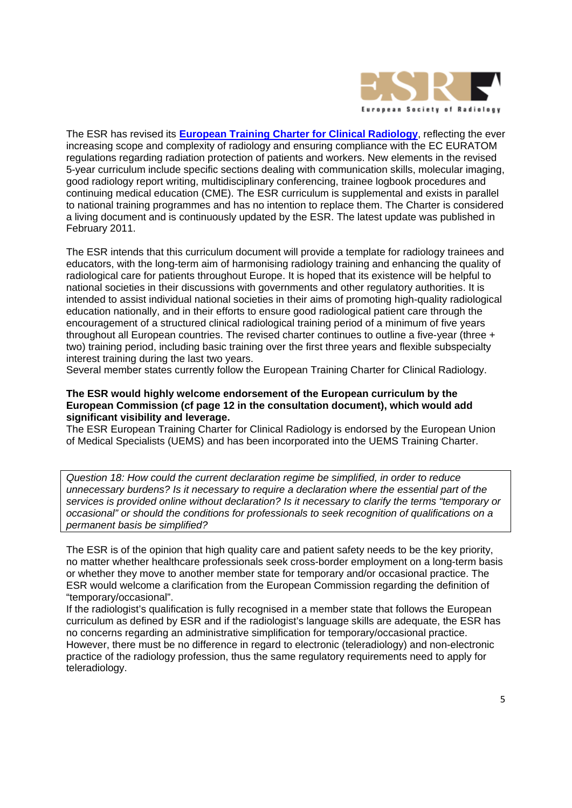

The ESR has revised its **European Training Charter for Clinical Radiology**, reflecting the ever increasing scope and complexity of radiology and ensuring compliance with the EC EURATOM regulations regarding radiation protection of patients and workers. New elements in the revised 5-year curriculum include specific sections dealing with communication skills, molecular imaging, good radiology report writing, multidisciplinary conferencing, trainee logbook procedures and continuing medical education (CME). The ESR curriculum is supplemental and exists in parallel to national training programmes and has no intention to replace them. The Charter is considered a living document and is continuously updated by the ESR. The latest update was published in February 2011.

The ESR intends that this curriculum document will provide a template for radiology trainees and educators, with the long-term aim of harmonising radiology training and enhancing the quality of radiological care for patients throughout Europe. It is hoped that its existence will be helpful to national societies in their discussions with governments and other regulatory authorities. It is intended to assist individual national societies in their aims of promoting high-quality radiological education nationally, and in their efforts to ensure good radiological patient care through the encouragement of a structured clinical radiological training period of a minimum of five years throughout all European countries. The revised charter continues to outline a five-year (three + two) training period, including basic training over the first three years and flexible subspecialty interest training during the last two years.

Several member states currently follow the European Training Charter for Clinical Radiology.

### **The ESR would highly welcome endorsement of the European curriculum by the European Commission (cf page 12 in the consultation document), which would add significant visibility and leverage.**

The ESR European Training Charter for Clinical Radiology is endorsed by the European Union of Medical Specialists (UEMS) and has been incorporated into the UEMS Training Charter.

*Question 18: How could the current declaration regime be simplified, in order to reduce unnecessary burdens? Is it necessary to require a declaration where the essential part of the services is provided online without declaration? Is it necessary to clarify the terms "temporary or occasional" or should the conditions for professionals to seek recognition of qualifications on a permanent basis be simplified?* 

The ESR is of the opinion that high quality care and patient safety needs to be the key priority, no matter whether healthcare professionals seek cross-border employment on a long-term basis or whether they move to another member state for temporary and/or occasional practice. The ESR would welcome a clarification from the European Commission regarding the definition of "temporary/occasional".

If the radiologist's qualification is fully recognised in a member state that follows the European curriculum as defined by ESR and if the radiologist's language skills are adequate, the ESR has no concerns regarding an administrative simplification for temporary/occasional practice. However, there must be no difference in regard to electronic (teleradiology) and non-electronic practice of the radiology profession, thus the same regulatory requirements need to apply for teleradiology.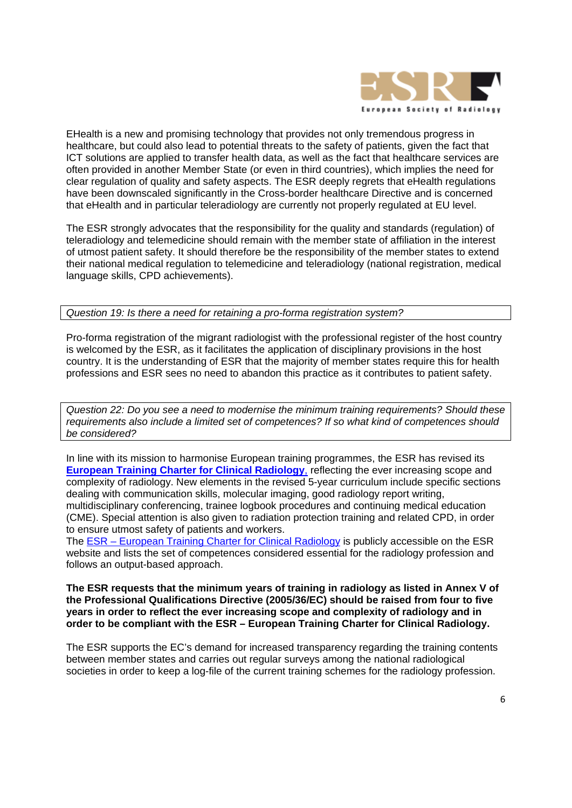

EHealth is a new and promising technology that provides not only tremendous progress in healthcare, but could also lead to potential threats to the safety of patients, given the fact that ICT solutions are applied to transfer health data, as well as the fact that healthcare services are often provided in another Member State (or even in third countries), which implies the need for clear regulation of quality and safety aspects. The ESR deeply regrets that eHealth regulations have been downscaled significantly in the Cross-border healthcare Directive and is concerned that eHealth and in particular teleradiology are currently not properly regulated at EU level.

The ESR strongly advocates that the responsibility for the quality and standards (regulation) of teleradiology and telemedicine should remain with the member state of affiliation in the interest of utmost patient safety. It should therefore be the responsibility of the member states to extend their national medical regulation to telemedicine and teleradiology (national registration, medical language skills, CPD achievements).

*Question 19: Is there a need for retaining a pro-forma registration system?* 

Pro-forma registration of the migrant radiologist with the professional register of the host country is welcomed by the ESR, as it facilitates the application of disciplinary provisions in the host country. It is the understanding of ESR that the majority of member states require this for health professions and ESR sees no need to abandon this practice as it contributes to patient safety.

*Question 22: Do you see a need to modernise the minimum training requirements? Should these requirements also include a limited set of competences? If so what kind of competences should be considered?*

In line with its mission to harmonise European training programmes, the ESR has revised its **European Training Charter for Clinical Radiology**, reflecting the ever increasing scope and complexity of radiology. New elements in the revised 5-year curriculum include specific sections dealing with communication skills, molecular imaging, good radiology report writing, multidisciplinary conferencing, trainee logbook procedures and continuing medical education (CME). Special attention is also given to radiation protection training and related CPD, in order to ensure utmost safety of patients and workers.

The ESR – European Training Charter for Clinical Radiology is publicly accessible on the ESR website and lists the set of competences considered essential for the radiology profession and follows an output-based approach.

**The ESR requests that the minimum years of training in radiology as listed in Annex V of the Professional Qualifications Directive (2005/36/EC) should be raised from four to five years in order to reflect the ever increasing scope and complexity of radiology and in order to be compliant with the ESR – European Training Charter for Clinical Radiology.** 

The ESR supports the EC's demand for increased transparency regarding the training contents between member states and carries out regular surveys among the national radiological societies in order to keep a log-file of the current training schemes for the radiology profession.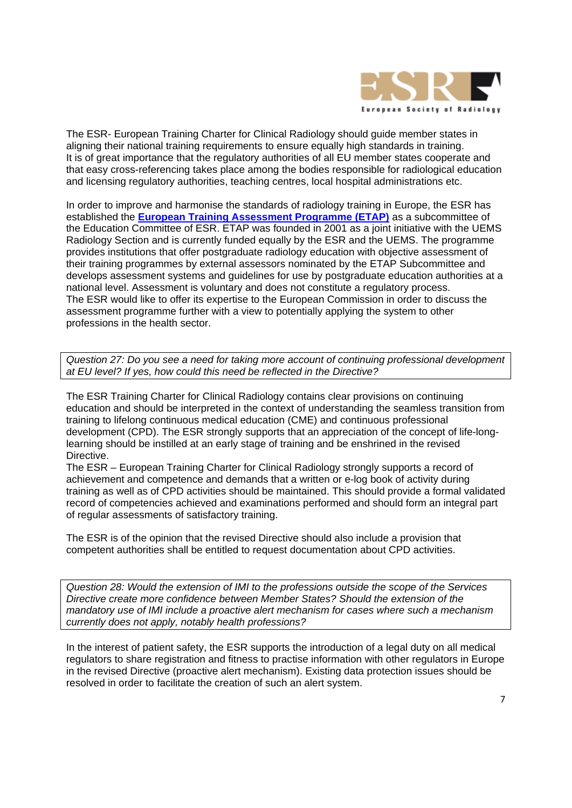

The ESR- European Training Charter for Clinical Radiology should guide member states in aligning their national training requirements to ensure equally high standards in training. It is of great importance that the regulatory authorities of all EU member states cooperate and that easy cross-referencing takes place among the bodies responsible for radiological education and licensing regulatory authorities, teaching centres, local hospital administrations etc.

In order to improve and harmonise the standards of radiology training in Europe, the ESR has established the **European Training Assessment Programme (ETAP)** as a subcommittee of the Education Committee of ESR. ETAP was founded in 2001 as a joint initiative with the UEMS Radiology Section and is currently funded equally by the ESR and the UEMS. The programme provides institutions that offer postgraduate radiology education with objective assessment of their training programmes by external assessors nominated by the ETAP Subcommittee and develops assessment systems and guidelines for use by postgraduate education authorities at a national level. Assessment is voluntary and does not constitute a regulatory process. The ESR would like to offer its expertise to the European Commission in order to discuss the assessment programme further with a view to potentially applying the system to other professions in the health sector.

*Question 27: Do you see a need for taking more account of continuing professional development at EU level? If yes, how could this need be reflected in the Directive?* 

The ESR Training Charter for Clinical Radiology contains clear provisions on continuing education and should be interpreted in the context of understanding the seamless transition from training to lifelong continuous medical education (CME) and continuous professional development (CPD). The ESR strongly supports that an appreciation of the concept of life-longlearning should be instilled at an early stage of training and be enshrined in the revised Directive.

The ESR – European Training Charter for Clinical Radiology strongly supports a record of achievement and competence and demands that a written or e-log book of activity during training as well as of CPD activities should be maintained. This should provide a formal validated record of competencies achieved and examinations performed and should form an integral part of regular assessments of satisfactory training.

The ESR is of the opinion that the revised Directive should also include a provision that competent authorities shall be entitled to request documentation about CPD activities.

*Question 28: Would the extension of IMI to the professions outside the scope of the Services Directive create more confidence between Member States? Should the extension of the mandatory use of IMI include a proactive alert mechanism for cases where such a mechanism currently does not apply, notably health professions?* 

In the interest of patient safety, the ESR supports the introduction of a legal duty on all medical regulators to share registration and fitness to practise information with other regulators in Europe in the revised Directive (proactive alert mechanism). Existing data protection issues should be resolved in order to facilitate the creation of such an alert system.